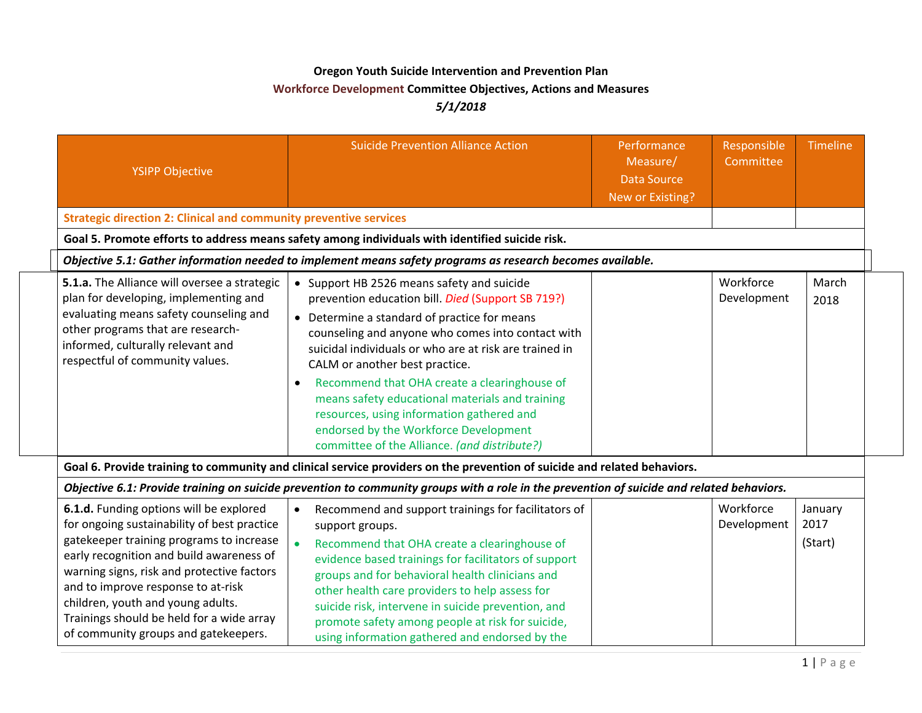## **Oregon Youth Suicide Intervention and Prevention Plan Workforce Development Committee Objectives, Actions and Measures** *5/1/2018*

| <b>YSIPP Objective</b>                                                                                                                                                                                                                                                                                                                                                                       | <b>Suicide Prevention Alliance Action</b>                                                                                                                                                                                                                                                                                                                                                                                                                                                                                                              | Performance<br>Measure/<br><b>Data Source</b><br>New or Existing? | Responsible<br>Committee | <b>Timeline</b>            |  |  |
|----------------------------------------------------------------------------------------------------------------------------------------------------------------------------------------------------------------------------------------------------------------------------------------------------------------------------------------------------------------------------------------------|--------------------------------------------------------------------------------------------------------------------------------------------------------------------------------------------------------------------------------------------------------------------------------------------------------------------------------------------------------------------------------------------------------------------------------------------------------------------------------------------------------------------------------------------------------|-------------------------------------------------------------------|--------------------------|----------------------------|--|--|
| <b>Strategic direction 2: Clinical and community preventive services</b>                                                                                                                                                                                                                                                                                                                     |                                                                                                                                                                                                                                                                                                                                                                                                                                                                                                                                                        |                                                                   |                          |                            |  |  |
| Goal 5. Promote efforts to address means safety among individuals with identified suicide risk.                                                                                                                                                                                                                                                                                              |                                                                                                                                                                                                                                                                                                                                                                                                                                                                                                                                                        |                                                                   |                          |                            |  |  |
| Objective 5.1: Gather information needed to implement means safety programs as research becomes available.                                                                                                                                                                                                                                                                                   |                                                                                                                                                                                                                                                                                                                                                                                                                                                                                                                                                        |                                                                   |                          |                            |  |  |
| 5.1.a. The Alliance will oversee a strategic<br>plan for developing, implementing and<br>evaluating means safety counseling and<br>other programs that are research-<br>informed, culturally relevant and<br>respectful of community values.                                                                                                                                                 | • Support HB 2526 means safety and suicide<br>prevention education bill. Died (Support SB 719?)<br>• Determine a standard of practice for means<br>counseling and anyone who comes into contact with<br>suicidal individuals or who are at risk are trained in<br>CALM or another best practice.<br>Recommend that OHA create a clearinghouse of<br>$\bullet$<br>means safety educational materials and training<br>resources, using information gathered and<br>endorsed by the Workforce Development<br>committee of the Alliance. (and distribute?) |                                                                   | Workforce<br>Development | March<br>2018              |  |  |
|                                                                                                                                                                                                                                                                                                                                                                                              | Goal 6. Provide training to community and clinical service providers on the prevention of suicide and related behaviors.                                                                                                                                                                                                                                                                                                                                                                                                                               |                                                                   |                          |                            |  |  |
|                                                                                                                                                                                                                                                                                                                                                                                              | Objective 6.1: Provide training on suicide prevention to community groups with a role in the prevention of suicide and related behaviors.                                                                                                                                                                                                                                                                                                                                                                                                              |                                                                   |                          |                            |  |  |
| 6.1.d. Funding options will be explored<br>for ongoing sustainability of best practice<br>gatekeeper training programs to increase<br>early recognition and build awareness of<br>warning signs, risk and protective factors<br>and to improve response to at-risk<br>children, youth and young adults.<br>Trainings should be held for a wide array<br>of community groups and gatekeepers. | Recommend and support trainings for facilitators of<br>$\bullet$<br>support groups.<br>$\bullet$<br>Recommend that OHA create a clearinghouse of<br>evidence based trainings for facilitators of support<br>groups and for behavioral health clinicians and<br>other health care providers to help assess for<br>suicide risk, intervene in suicide prevention, and<br>promote safety among people at risk for suicide,<br>using information gathered and endorsed by the                                                                              |                                                                   | Workforce<br>Development | January<br>2017<br>(Start) |  |  |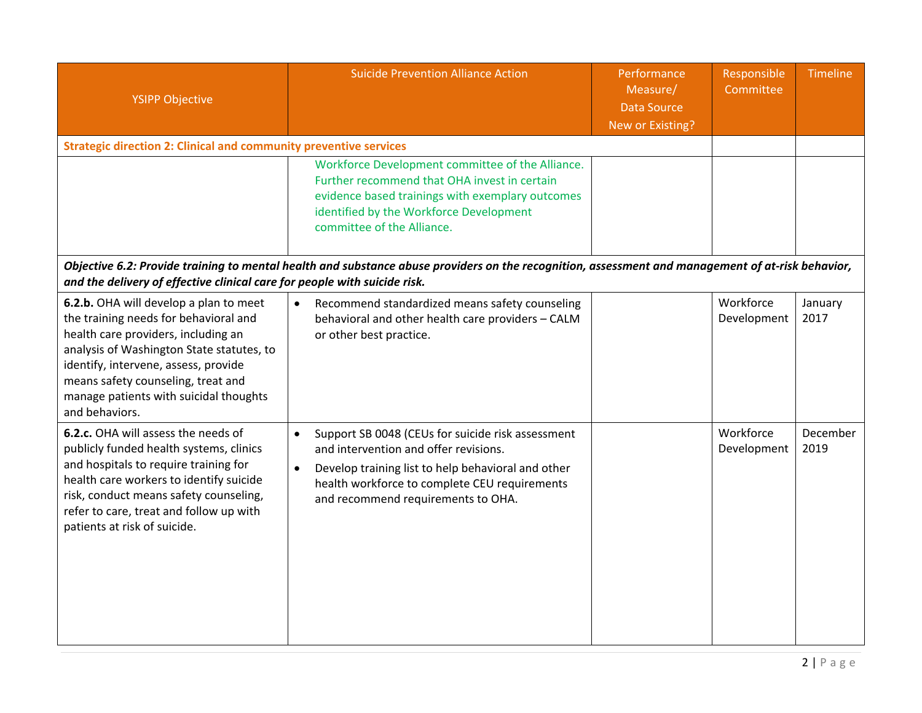| <b>YSIPP Objective</b>                                                                                                                                                                                                                                                                                        | <b>Suicide Prevention Alliance Action</b>                                                                                                                                                                                                                         | Performance<br>Measure/<br><b>Data Source</b><br>New or Existing? | Responsible<br>Committee | Timeline         |  |  |  |  |
|---------------------------------------------------------------------------------------------------------------------------------------------------------------------------------------------------------------------------------------------------------------------------------------------------------------|-------------------------------------------------------------------------------------------------------------------------------------------------------------------------------------------------------------------------------------------------------------------|-------------------------------------------------------------------|--------------------------|------------------|--|--|--|--|
| <b>Strategic direction 2: Clinical and community preventive services</b>                                                                                                                                                                                                                                      |                                                                                                                                                                                                                                                                   |                                                                   |                          |                  |  |  |  |  |
|                                                                                                                                                                                                                                                                                                               | Workforce Development committee of the Alliance.<br>Further recommend that OHA invest in certain<br>evidence based trainings with exemplary outcomes<br>identified by the Workforce Development<br>committee of the Alliance.                                     |                                                                   |                          |                  |  |  |  |  |
| Objective 6.2: Provide training to mental health and substance abuse providers on the recognition, assessment and management of at-risk behavior,<br>and the delivery of effective clinical care for people with suicide risk.                                                                                |                                                                                                                                                                                                                                                                   |                                                                   |                          |                  |  |  |  |  |
| 6.2.b. OHA will develop a plan to meet<br>the training needs for behavioral and<br>health care providers, including an<br>analysis of Washington State statutes, to<br>identify, intervene, assess, provide<br>means safety counseling, treat and<br>manage patients with suicidal thoughts<br>and behaviors. | Recommend standardized means safety counseling<br>$\bullet$<br>behavioral and other health care providers - CALM<br>or other best practice.                                                                                                                       |                                                                   | Workforce<br>Development | January<br>2017  |  |  |  |  |
| 6.2.c. OHA will assess the needs of<br>publicly funded health systems, clinics<br>and hospitals to require training for<br>health care workers to identify suicide<br>risk, conduct means safety counseling,<br>refer to care, treat and follow up with<br>patients at risk of suicide.                       | Support SB 0048 (CEUs for suicide risk assessment<br>$\bullet$<br>and intervention and offer revisions.<br>Develop training list to help behavioral and other<br>$\bullet$<br>health workforce to complete CEU requirements<br>and recommend requirements to OHA. |                                                                   | Workforce<br>Development | December<br>2019 |  |  |  |  |